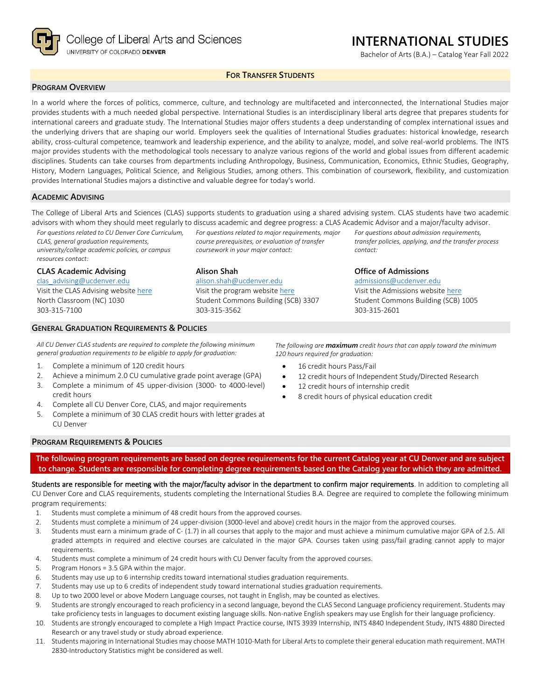

College of Liberal Arts and Sciences UNIVERSITY OF COLORADO DENVER

# **INTERNATIONAL STUDIES**

Bachelor of Arts (B.A.) – Catalog Year Fall 2022

*For questions about admission requirements, transfer policies, applying, and the transfer process* 

## **FOR TRANSFER STUDENTS**

### **PROGRAM OVERVIEW**

In a world where the forces of politics, commerce, culture, and technology are multifaceted and interconnected, the International Studies major provides students with a much needed global perspective. International Studies is an interdisciplinary liberal arts degree that prepares students for international careers and graduate study. The International Studies major offers students a deep understanding of complex international issues and the underlying drivers that are shaping our world. Employers seek the qualities of International Studies graduates: historical knowledge, research ability, cross-cultural competence, teamwork and leadership experience, and the ability to analyze, model, and solve real-world problems. The INTS major provides students with the methodological tools necessary to analyze various regions of the world and global issues from different academic disciplines. Students can take courses from departments including Anthropology, Business, Communication, Economics, Ethnic Studies, Geography, History, Modern Languages, Political Science, and Religious Studies, among others. This combination of coursework, flexibility, and customization provides International Studies majors a distinctive and valuable degree for today's world.

#### **ACADEMIC ADVISING**

The College of Liberal Arts and Sciences (CLAS) supports students to graduation using a shared advising system. CLAS students have two academic advisors with whom they should meet regularly to discuss academic and degree progress: a CLAS Academic Advisor and a major/faculty advisor. *For questions related to major requirements, major* 

*course prerequisites, or evaluation of transfer* 

*coursework in your major contact:*

[alison.shah@ucdenver.edu](mailto:alison.shah@ucdenver.edu) Visit the program website [here](https://clas.ucdenver.edu/ints/) Student Commons Building (SCB) 3307

**Alison Shah**

303-315-3562

*For questions related to CU Denver Core Curriculum, CLAS, general graduation requirements, university/college academic policies, or campus resources contact:*

#### **CLAS Academic Advising**

[clas\\_advising@ucdenver.edu](mailto:clas_advising@ucdenver.edu) Visit the CLAS Advising websit[e here](https://clas.ucdenver.edu/advising/) North Classroom (NC) 1030 303-315-7100

#### **GENERAL GRADUATION REQUIREMENTS & POLICIES**

*All CU Denver CLAS students are required to complete the following minimum general graduation requirements to be eligible to apply for graduation:*

- 1. Complete a minimum of 120 credit hours
- 2. Achieve a minimum 2.0 CU cumulative grade point average (GPA)
- 3. Complete a minimum of 45 upper-division (3000- to 4000-level) credit hours
- 4. Complete all CU Denver Core, CLAS, and major requirements
- 5. Complete a minimum of 30 CLAS credit hours with letter grades at CU Denver

303-315-2601

*contact:*

*The following are maximum credit hours that can apply toward the minimum 120 hours required for graduation:*

**Office of Admissions** [admissions@ucdenver.edu](mailto:admissions@ucdenver.edu) Visit the Admissions website [here](http://www.ucdenver.edu/admissions/Pages/index.aspx) Student Commons Building (SCB) 1005

- 16 credit hours Pass/Fail
- 12 credit hours of Independent Study/Directed Research
- 12 credit hours of internship credit
- 8 credit hours of physical education credit

### **PROGRAM REQUIREMENTS & POLICIES**

**The following program requirements are based on degree requirements for the current Catalog year at CU Denver and are subject to change. Students are responsible for completing degree requirements based on the Catalog year for which they are admitted.**

Students are responsible for meeting with the major/faculty advisor in the department to confirm major requirements. In addition to completing all CU Denver Core and CLAS requirements, students completing the International Studies B.A. Degree are required to complete the following minimum program requirements:

- 1. Students must complete a minimum of 48 credit hours from the approved courses.
- 2. Students must complete a minimum of 24 upper-division (3000-level and above) credit hours in the major from the approved courses.
- 3. Students must earn a minimum grade of C- (1.7) in all courses that apply to the major and must achieve a minimum cumulative major GPA of 2.5. All graded attempts in required and elective courses are calculated in the major GPA. Courses taken using pass/fail grading cannot apply to major requirements.
- 4. Students must complete a minimum of 24 credit hours with CU Denver faculty from the approved courses.
- 5. Program Honors = 3.5 GPA within the major.
- 6. Students may use up to 6 internship credits toward international studies graduation requirements.
- 7. Students may use up to 6 credits of independent study toward international studies graduation requirements.
- 8. Up to two 2000 level or above Modern Language courses, not taught in English, may be counted as electives.
- 9. Students are strongly encouraged to reach proficiency in a second language, beyond the CLAS Second Language proficiency requirement. Students may take proficiency tests in languages to document existing language skills. Non-native English speakers may use English for their language proficiency.
- 10. Students are strongly encouraged to complete a High Impact Practice course, INTS 3939 Internship, INTS 4840 Independent Study, INTS 4880 Directed Research or any travel study or study abroad experience.
- 11. Students majoring in International Studies may choose MATH 1010-Math for Liberal Arts to complete their general education math requirement. MATH 2830-Introductory Statistics might be considered as well.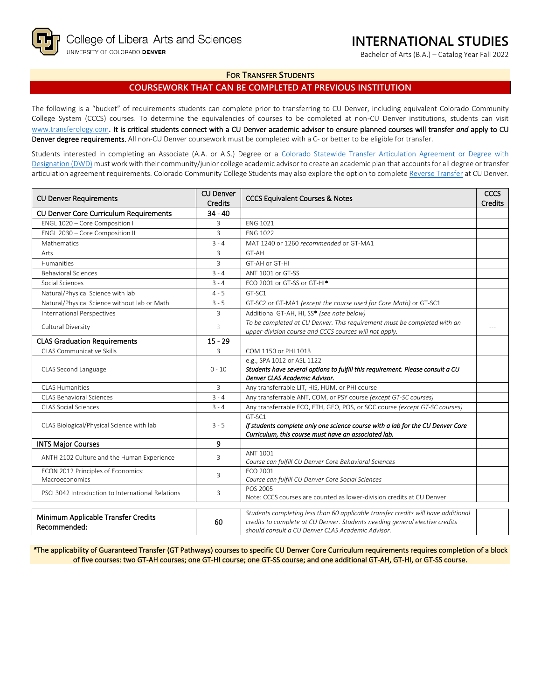Bachelor of Arts (B.A.) – Catalog Year Fall 2022

### **FOR TRANSFER STUDENTS**

## **COURSEWORK THAT CAN BE COMPLETED AT PREVIOUS INSTITUTION**

The following is a "bucket" of requirements students can complete prior to transferring to CU Denver, including equivalent Colorado Community College System (CCCS) courses. To determine the equivalencies of courses to be completed at non-CU Denver institutions, students can visit [www.transferology.com](http://www.transferology.com/)**.** It is critical students connect with a CU Denver academic advisor to ensure planned courses will transfer *and* apply to CU Denver degree requirements. All non-CU Denver coursework must be completed with a C- or better to be eligible for transfer.

Students interested in completing an Associate (A.A. or A.S.) Degree or a Colorado Statewide Transfer Articulation Agreement or Degree with [Designation \(DWD\)](https://highered.colorado.gov/transfer-degrees) must work with their community/junior college academic advisor to create an academic plan that accounts for all degree or transfer articulation agreement requirements. Colorado Community College Students may also explore the option to complet[e Reverse Transfer](https://highered.colorado.gov/students/attending-college/colorado-reverse-transfer) at CU Denver.

| <b>CU Denver Requirements</b>                        | <b>CU Denver</b><br><b>Credits</b> | <b>CCCS Equivalent Courses &amp; Notes</b>                                                                                                                                                                            | <b>CCCS</b><br><b>Credits</b> |
|------------------------------------------------------|------------------------------------|-----------------------------------------------------------------------------------------------------------------------------------------------------------------------------------------------------------------------|-------------------------------|
| CU Denver Core Curriculum Requirements               | $34 - 40$                          |                                                                                                                                                                                                                       |                               |
| ENGL 1020 - Core Composition I                       | 3                                  | <b>ENG 1021</b>                                                                                                                                                                                                       |                               |
| ENGL 2030 - Core Composition II                      | 3                                  | <b>ENG 1022</b>                                                                                                                                                                                                       |                               |
| Mathematics                                          | $3 - 4$                            | MAT 1240 or 1260 recommended or GT-MA1                                                                                                                                                                                |                               |
| Arts                                                 | 3                                  | GT-AH                                                                                                                                                                                                                 |                               |
| Humanities                                           | 3                                  | GT-AH or GT-HI                                                                                                                                                                                                        |                               |
| <b>Behavioral Sciences</b>                           | $3 - 4$                            | ANT 1001 or GT-SS                                                                                                                                                                                                     |                               |
| Social Sciences                                      | $3 - 4$                            | ECO 2001 or GT-SS or GT-HI <sup>*</sup>                                                                                                                                                                               |                               |
| Natural/Physical Science with lab                    | $4 - 5$                            | GT-SC1                                                                                                                                                                                                                |                               |
| Natural/Physical Science without lab or Math         | $3 - 5$                            | GT-SC2 or GT-MA1 (except the course used for Core Math) or GT-SC1                                                                                                                                                     |                               |
| <b>International Perspectives</b>                    | 3                                  | Additional GT-AH, HI, SS* (see note below)                                                                                                                                                                            |                               |
| Cultural Diversity                                   | 3                                  | To be completed at CU Denver. This requirement must be completed with an<br>upper-division course and CCCS courses will not apply.                                                                                    |                               |
| <b>CLAS Graduation Requirements</b>                  | $15 - 29$                          |                                                                                                                                                                                                                       |                               |
| CLAS Communicative Skills                            | 3                                  | COM 1150 or PHI 1013                                                                                                                                                                                                  |                               |
| CLAS Second Language                                 | $0 - 10$                           | e.g., SPA 1012 or ASL 1122<br>Students have several options to fulfill this requirement. Please consult a CU<br>Denver CLAS Academic Advisor.                                                                         |                               |
| <b>CLAS Humanities</b>                               | 3                                  | Any transferrable LIT, HIS, HUM, or PHI course                                                                                                                                                                        |                               |
| CLAS Behavioral Sciences                             | $3 - 4$                            | Any transferrable ANT, COM, or PSY course (except GT-SC courses)                                                                                                                                                      |                               |
| <b>CLAS Social Sciences</b>                          | $3 - 4$                            | Any transferrable ECO, ETH, GEO, POS, or SOC course (except GT-SC courses)                                                                                                                                            |                               |
| CLAS Biological/Physical Science with lab            | $3 - 5$                            | GT-SC1<br>If students complete only one science course with a lab for the CU Denver Core<br>Curriculum, this course must have an associated lab.                                                                      |                               |
| <b>INTS Major Courses</b>                            | 9                                  |                                                                                                                                                                                                                       |                               |
| ANTH 2102 Culture and the Human Experience           | 3                                  | <b>ANT 1001</b><br>Course can fulfill CU Denver Core Behavioral Sciences                                                                                                                                              |                               |
| ECON 2012 Principles of Economics:<br>Macroeconomics | 3                                  | FCO 2001<br>Course can fulfill CU Denver Core Social Sciences                                                                                                                                                         |                               |
| PSCI 3042 Introduction to International Relations    | 3                                  | POS 2005<br>Note: CCCS courses are counted as lower-division credits at CU Denver                                                                                                                                     |                               |
| Minimum Applicable Transfer Credits<br>Recommended:  | 60                                 | Students completing less than 60 applicable transfer credits will have additional<br>credits to complete at CU Denver. Students needing general elective credits<br>should consult a CU Denver CLAS Academic Advisor. |                               |

*\**The applicability of Guaranteed Transfer (GT Pathways) courses to specific CU Denver Core Curriculum requirements requires completion of a block of five courses: two GT-AH courses; one GT-HI course; one GT-SS course; and one additional GT-AH, GT-HI, or GT-SS course.